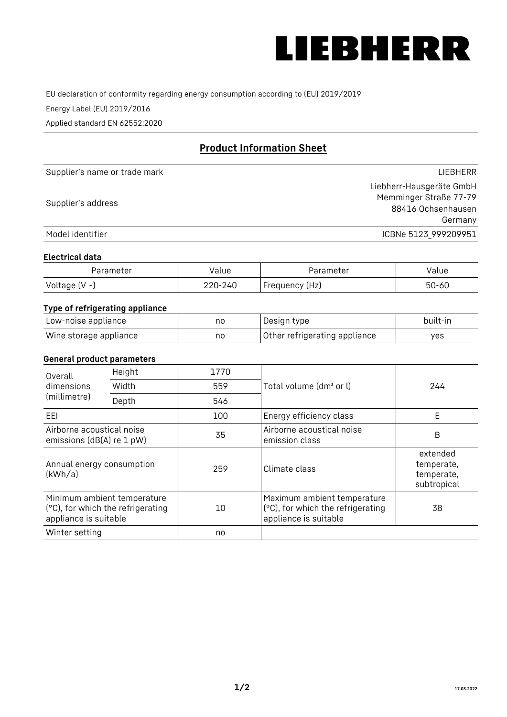

EU declaration of conformity regarding energy consumption according to (EU) 2019/2019

Energy Label (EU) 2019/2016

Applied standard EN 62552:2020

# **Product Information Sheet**

| Supplier's name or trade mark | <b>LIFBHFRR</b>          |
|-------------------------------|--------------------------|
|                               | Liebherr-Hausgeräte GmbH |
| Supplier's address            | Memminger Straße 77-79   |
|                               | 88416 Ochsenhausen       |
|                               | Germany                  |
| Model identifier              | ICBNe 5123_999209951     |

## **Electrical data**

| Parameter     | Value         | Parameter      | alue ' |
|---------------|---------------|----------------|--------|
| Voltage (V ~) | 220-:<br>-24C | Frequency (Hz) | 50-60  |

# **Type of refrigerating appliance**

| Low-noise appliance    | no | Design type                   | built-in |
|------------------------|----|-------------------------------|----------|
| Wine storage appliance | no | Other refrigerating appliance | ves      |

## **General product parameters**

| Height<br>Overall                                      |                                                                  | 1770 |                                                                                           |                                                     |
|--------------------------------------------------------|------------------------------------------------------------------|------|-------------------------------------------------------------------------------------------|-----------------------------------------------------|
| dimensions<br>(millimetre)                             | Width                                                            | 559  | Total volume (dm <sup>3</sup> or l)                                                       | 244                                                 |
|                                                        | Depth                                                            | 546  |                                                                                           |                                                     |
| EEL                                                    |                                                                  | 100  | Energy efficiency class                                                                   | E                                                   |
| Airborne acoustical noise<br>emissions (dB(A) re 1 pW) |                                                                  | 35   | Airborne acoustical noise<br>emission class                                               | B                                                   |
| Annual energy consumption<br>(kWh/a)                   |                                                                  | 259  | Climate class                                                                             | extended<br>temperate,<br>temperate,<br>subtropical |
| appliance is suitable                                  | Minimum ambient temperature<br>(°C), for which the refrigerating | 10   | Maximum ambient temperature<br>(°C), for which the refrigerating<br>appliance is suitable | 38                                                  |
| Winter setting                                         |                                                                  | no   |                                                                                           |                                                     |